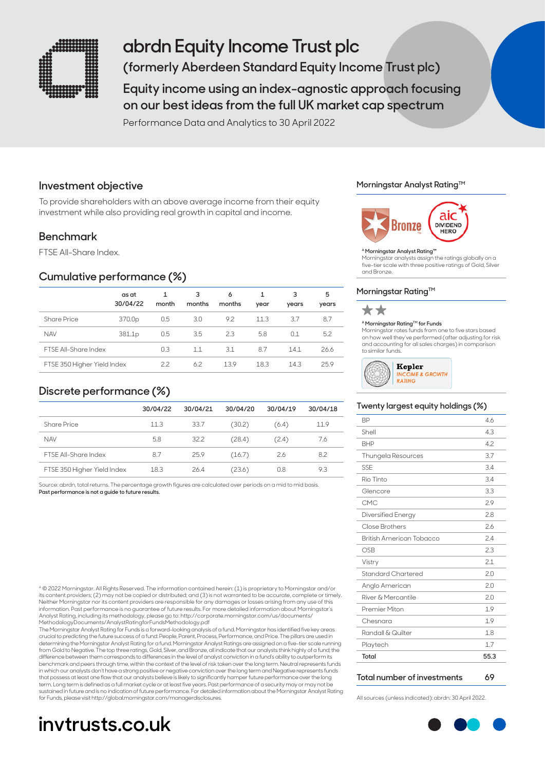

# **abrdn Equity Income Trust plc**

**(formerly Aberdeen Standard Equity Income Trust plc)** 

**Equity income using an index-agnostic approach focusing on our best ideas from the full UK market cap spectrum**

Performance Data and Analytics to 30 April 2022

## **Investment objective**

To provide shareholders with an above average income from their equity investment while also providing real growth in capital and income.

## **Benchmark**

FTSE All-Share Index.

## **Cumulative performance (%)**

|                             | as at<br>30/04/22  | month | 3<br>months | 6<br>months | year | 3<br>years | 5<br>years |
|-----------------------------|--------------------|-------|-------------|-------------|------|------------|------------|
| <b>Share Price</b>          | 370.0p             | 0.5   | 3.0         | 9.2         | 11.3 | 3.7        | 8.7        |
| <b>NAV</b>                  | 381.1 <sub>p</sub> | 0.5   | 3.5         | 2.3         | 5.8  | 0.1        | 5.2        |
| <b>FTSF All-Share Index</b> |                    | 0.3   | 1.1         | 3.1         | 8.7  | 14.1       | 26.6       |
| FTSE 350 Higher Yield Index |                    | 22    | 6.2         | 13.9        | 18.3 | 14.3       | 25.9       |

## **Discrete performance (%)**

|                             | 30/04/22 | 30/04/21 | 30/04/20 | 30/04/19 | 30/04/18 |
|-----------------------------|----------|----------|----------|----------|----------|
| Share Price                 | 11.3     | 33.7     | (30.2)   | (6.4)    | 11.9     |
| <b>NAV</b>                  | 5.8      | 32.2     | (28.4)   | (2.4)    | 7.6      |
| <b>FTSF All-Share Index</b> | 8.7      | 25.9     | (16.7)   | 2.6      | 8.2      |
| FTSE 350 Higher Yield Index | 18.3     | 26.4     | (23.6)   | 0.8      | 9.3      |

Source: abrdn, total returns. The percentage growth figures are calculated over periods on a mid to mid basis. **Past performance is not a guide to future results.**

A © 2022 Morningstar. All Rights Reserved. The information contained herein: (1) is proprietary to Morningstar and/or its content providers; (2) may not be copied or distributed; and (3) is not warranted to be accurate, complete or timely. Neither Morningstar nor its content providers are responsible for any damages or losses arising from any use of this information. Past performance is no guarantee of future results. For more detailed information about Morningstar's Analyst Rating, including its methodology, please go to: http://corporate.morningstar.com/us/docume MethodologyDocuments/AnalystRatingforFundsMethodology.pdf

The Morningstar Analyst Rating for Funds is a forward-looking analysis of a fund. Morningstar has identified five key areas<br>crucial to predicting the future success of a fund: People, Parent, Process, Performance, and Pric determining the Morningstar Analyst Rating for a fund. Morningstar Analyst Ratings are assigned on a five-tier scale running<br>from Gold to Negative. The top three ratings, Gold, Silver, and Bronze, all indicate that our ana difference between them corresponds to differences in the level of analyst conviction in a fund's ability to outperform its benchmark and peers through time, within the context of the level of risk taken over the long term. Neutral represents funds in which our analysts don't have a strong positive or negative conviction over the long term and Negative represents funds that possess at least one flaw that our analysts believe is likely to significantly hamper future performance over the long term. Long term is defined as a full market cycle or at least five years. Past performance of a security may or may not be sustained in future and is no indication of future performance. For detailed information about the Morningstar Analyst Rating for Funds, please visit http://global.morningstar.com/managerdisclosures. All sources (unless indicated): abrdn: 30 April 2022.

# **invtrusts.co.uk**

#### **Morningstar Analyst RatingTM**



#### **A Morningstar Analyst Rating™**

Morningstar analysts assign the ratings globally on a five-tier scale with three positive ratings of Gold, Silver and Bronze.

#### **Morningstar Rating™**



#### **A Morningstar RatingTM for Funds**

Morningstar rates funds from one to five stars based on how well they've performed (after adjusting for risk and accounting for all sales charges) in comparison to similar funds.



#### **Twenty largest equity holdings (%)**

| <b>BP</b>                 | 46   |
|---------------------------|------|
| Shell                     | 4.3  |
| <b>BHP</b>                | 4.2  |
| <b>Thungela Resources</b> | 3.7  |
| SSF                       | 34   |
| Rio Tinto                 | 34   |
| Glencore                  | 3.3  |
| CMC                       | 29   |
| Diversified Energy        | 28   |
| Close Brothers            | 2.6  |
| British American Tobacco  | 24   |
| OSB                       | 2.3  |
| Vistry                    | 2.1  |
| Standard Chartered        | 2.0  |
| Anglo American            | 2.0  |
| River & Mercantile        | 2.0  |
| Premier Miton             | 1.9  |
| Chesnara                  | 1.9  |
| Randall & Quilter         | 1.8  |
| Playtech                  | 1.7  |
| Total                     | 55.3 |
|                           |      |

#### **Total number of investments 69**

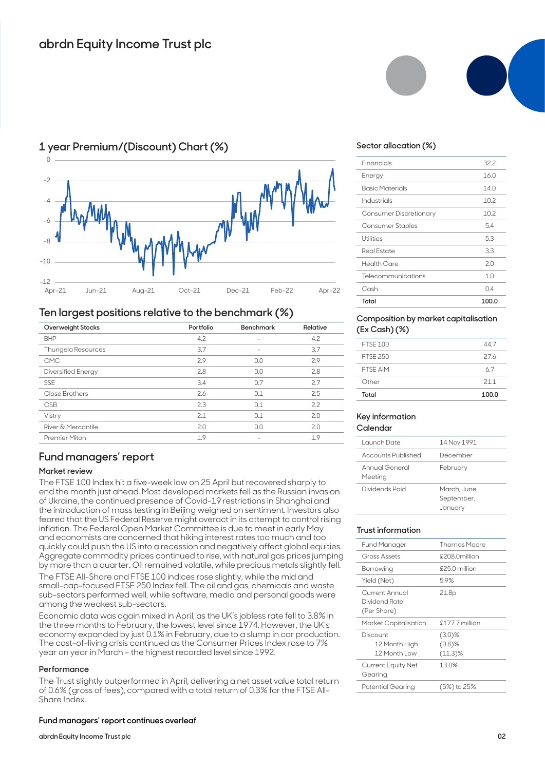

## **1 year Premium/(Discount) Chart (%)**

### **Ten largest positions relative to the benchmark (%)**

| Overweight Stocks         | Portfolio | <b>Benchmark</b>         | Relative |  |
|---------------------------|-----------|--------------------------|----------|--|
| <b>BHP</b>                | 4.2       |                          | 4.2      |  |
| Thungela Resources        | 3.7       | -                        | 3.7      |  |
| <b>CMC</b>                | 2.9       | 0.0                      | 2.9      |  |
| <b>Diversified Energy</b> | 2.8       | 0.0                      | 2.8      |  |
| <b>SSE</b>                | 3.4       | 0.7                      | 2.7      |  |
| Close Brothers            | 2.6       | 0.1                      | 2.5      |  |
| <b>OSB</b>                | 2.3       | 0.1                      | 2.2      |  |
| Vistry                    | 2.1       | 0.1                      | 2.0      |  |
| River & Mercantile        | 2.0       | 0.0                      | 2.0      |  |
| Premier Miton             | 1.9       | $\overline{\phantom{0}}$ | 1.9      |  |
|                           |           |                          |          |  |

## **Fund managers' report**

#### **Market review**

The FTSE 100 Index hit a five-week low on 25 April but recovered sharply to end the month just ahead. Most developed markets fell as the Russian invasion of Ukraine, the continued presence of Covid-19 restrictions in Shanghai and the introduction of mass testing in Beijing weighed on sentiment. Investors also feared that the US Federal Reserve might overact in its attempt to control rising inflation. The Federal Open Market Committee is due to meet in early May and economists are concerned that hiking interest rates too much and too quickly could push the US into a recession and negatively affect global equities. Aggregate commodity prices continued to rise, with natural gas prices jumping by more than a quarter. Oil remained volatile, while precious metals slightly fell.

The FTSE All-Share and FTSE 100 indices rose slightly, while the mid and small-cap-focused FTSE 250 Index fell. The oil and gas, chemicals and waste sub-sectors performed well, while software, media and personal goods were among the weakest sub-sectors.

Economic data was again mixed in April, as the UK's jobless rate fell to 3.8% in the three months to February, the lowest level since 1974. However, the UK's economy expanded by just 0.1% in February, due to a slump in car production. The cost-of-living crisis continued as the Consumer Prices Index rose to 7% year on year in March – the highest recorded level since 1992.

#### **Performance**

The Trust slightly outperformed in April, delivering a net asset value total return of 0.6% (gross of fees), compared with a total return of 0.3% for the FTSE All-Share Index.

#### **Fund managers' report continues overleaf**

#### **abrdn Equity Income Trust plc**



#### **Sector allocation (%)**

| Total                   | 100.0 |
|-------------------------|-------|
| Cash                    | 04    |
| Telecommunications      | 1.0   |
| <b>Health Care</b>      | 2.0   |
| <b>Real Estate</b>      | 3.3   |
| Utilities               | 5.3   |
| <b>Consumer Staples</b> | 54    |
| Consumer Discretionary  | 10.2  |
| Industrials             | 10.2  |
| <b>Basic Materials</b>  | 14.0  |
| Energy                  | 16.0  |
| Financials              | 32.2  |
|                         |       |

#### **Composition by market capitalisation (Ex Cash) (%)**

| Total           | 100.0 |
|-----------------|-------|
| Other           | 211   |
| FTSF AIM        | 67    |
| <b>FTSF 250</b> | 27.6  |
| <b>FTSF 100</b> | 447   |
|                 |       |

#### **Key information Calendar**

| Launch Date               | 14 Nov 1991                           |
|---------------------------|---------------------------------------|
| Accounts Published        | December                              |
| Annual General<br>Meeting | February                              |
| Dividends Paid            | March, June,<br>September,<br>January |

#### **Trust information**

| Fund Manager                                   | <b>Thomas Moore</b>                  |
|------------------------------------------------|--------------------------------------|
| Gross Assets                                   | £208 Omillion                        |
| Borrowing                                      | $$25.0$ million                      |
| Yield (Net)                                    | 5.9%                                 |
| Current Annual<br>Dividend Rate<br>(Per Share) | 21.8p                                |
|                                                |                                      |
| Market Capitalisation                          | $$177.7$ million                     |
| Discount<br>12 Month High<br>12 Month Low      | $(3.0)\%$<br>$(0.8)$ %<br>$(11.3)\%$ |
| Current Equity Net<br>Gearing                  | 13.0%                                |
| Potential Gearing                              | (5%) to 25%                          |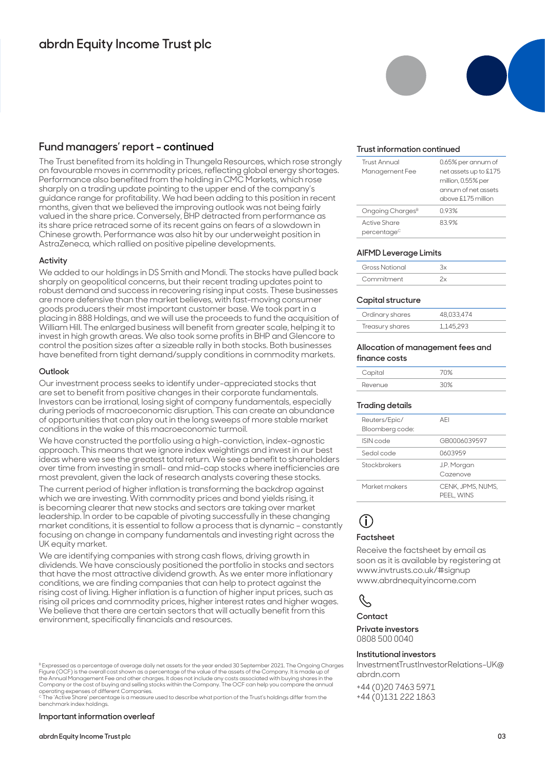### **Fund managers' report - continued**

The Trust benefited from its holding in Thungela Resources, which rose strongly on favourable moves in commodity prices, reflecting global energy shortages. Performance also benefited from the holding in CMC Markets, which rose sharply on a trading update pointing to the upper end of the company's guidance range for profitability. We had been adding to this position in recent months, given that we believed the improving outlook was not being fairly valued in the share price. Conversely, BHP detracted from performance as its share price retraced some of its recent gains on fears of a slowdown in Chinese growth. Performance was also hit by our underweight position in AstraZeneca, which rallied on positive pipeline developments.

#### **Activity**

We added to our holdings in DS Smith and Mondi. The stocks have pulled back sharply on geopolitical concerns, but their recent trading updates point to robust demand and success in recovering rising input costs. These businesses are more defensive than the market believes, with fast-moving consumer goods producers their most important customer base. We took part in a placing in 888 Holdings, and we will use the proceeds to fund the acquisition of William Hill. The enlarged business will benefit from greater scale, helping it to invest in high growth areas. We also took some profits in BHP and Glencore to control the position sizes after a sizeable rally in both stocks. Both businesses have benefited from tight demand/supply conditions in commodity markets.

#### **Outlook**

Our investment process seeks to identify under-appreciated stocks that are set to benefit from positive changes in their corporate fundamentals. Investors can be irrational, losing sight of company fundamentals, especially during periods of macroeconomic disruption. This can create an abundance of opportunities that can play out in the long sweeps of more stable market conditions in the wake of this macroeconomic turmoil.

We have constructed the portfolio using a high-conviction, index-agnostic approach. This means that we ignore index weightings and invest in our best ideas where we see the greatest total return. We see a benefit to shareholders over time from investing in small- and mid-cap stocks where inefficiencies are most prevalent, given the lack of research analysts covering these stocks.

The current period of higher inflation is transforming the backdrop against which we are investing. With commodity prices and bond yields rising, it is becoming clearer that new stocks and sectors are taking over market leadership. In order to be capable of pivoting successfully in these changing market conditions, it is essential to follow a process that is dynamic – constantly focusing on change in company fundamentals and investing right across the UK equity market.

We are identifying companies with strong cash flows, driving growth in dividends. We have consciously positioned the portfolio in stocks and sectors that have the most attractive dividend growth. As we enter more inflationary conditions, we are finding companies that can help to protect against the rising cost of living. Higher inflation is a function of higher input prices, such as rising oil prices and commodity prices, higher interest rates and higher wages. We believe that there are certain sectors that will actually benefit from this environment, specifically financials and resources.

#### **Important information overleaf**



#### **Trust information continued**

| Trust Annual<br>Management Fee          | 0.65% per annum of<br>net assets up to £175<br>million, 0.55% per<br>annum of net assets<br>above £175 million |
|-----------------------------------------|----------------------------------------------------------------------------------------------------------------|
| Ongoing Charges <sup>B</sup>            | 0.93%                                                                                                          |
| Active Share<br>percentage <sup>c</sup> | 839%                                                                                                           |

#### **AIFMD Leverage Limits**

| <b>Gross Notional</b> |  |
|-----------------------|--|
| Commitment            |  |

#### **Capital structure**

| Ordinary shares | 48.033.474 |
|-----------------|------------|
| Treasury shares | 1.145.293  |

#### **Allocation of management fees and finance costs**

| Capital |      |
|---------|------|
| Revenue | שווכ |

#### **Trading details**

| Reuters/Epic/<br>Bloomberg code: | AFI                             |
|----------------------------------|---------------------------------|
| ISIN code                        | GB0006039597                    |
| Sedol code                       | 0603959                         |
| Stockbrokers                     | J.P. Morgan<br>Cazenove         |
| Market makers                    | CENK, JPMS, NUMS,<br>PEEL, WINS |

## **i**

#### **Factsheet**

Receive the factsheet by email as soon as it is available by registering at www.invtrusts.co.uk/#signup www.abrdnequityincome.com

## J

#### **Contact**

**Private investors**  0808 500 0040

#### **Institutional investors**

InvestmentTrustInvestorRelations-UK@ abrdn.com

+44 (0)20 7463 5971 +44 (0)131 222 1863

B Expressed as a percentage of average daily net assets for the year ended 30 September 2021. The Ongoing Charges Figure (OCF) is the overall cost shown as a percentage of the value of the assets of the Company. It is made up of<br>the Annual Management Fee and other charges. It does not include any costs associated with buying shares in